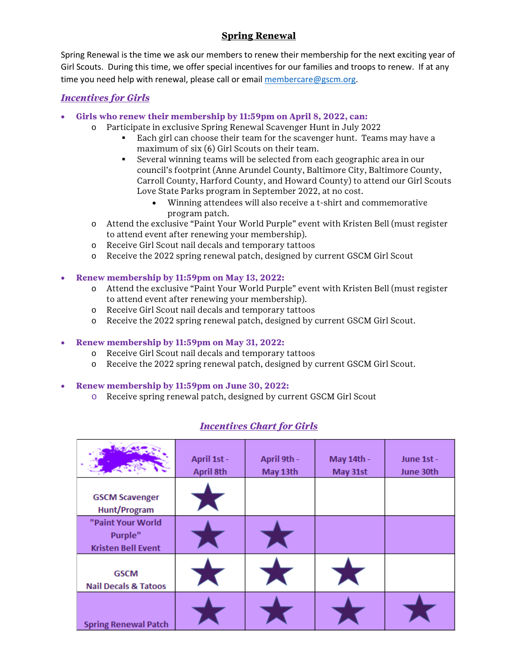# **Spring Renewal**

Spring Renewal is the time we ask our members to renew their membership for the next exciting year of Girl Scouts. During this time, we offer special incentives for our families and troops to renew. If at any time you need help with renewal, please call or email [membercare@gscm.org.](mailto:membercare@gscm.org)

## *Incentives for Girls*

- **Girls who renew their membership by 11:59pm on April 8, 2022, can:**
	- o Participate in exclusive Spring Renewal Scavenger Hunt in July 2022
		- Each girl can choose their team for the scavenger hunt. Teams may have a maximum of six (6) Girl Scouts on their team.
		- Several winning teams will be selected from each geographic area in our council's footprint (Anne Arundel County, Baltimore City, Baltimore County, Carroll County, Harford County, and Howard County) to attend our Girl Scouts Love State Parks program in September 2022, at no cost.
			- Winning attendees will also receive a t-shirt and commemorative program patch.
	- o Attend the exclusive "Paint Your World Purple" event with Kristen Bell (must register to attend event after renewing your membership).
	- o Receive Girl Scout nail decals and temporary tattoos
	- o Receive the 2022 spring renewal patch, designed by current GSCM Girl Scout

### • **Renew membership by 11:59pm on May 13, 2022:**

- o Attend the exclusive "Paint Your World Purple" event with Kristen Bell (must register to attend event after renewing your membership).
- o Receive Girl Scout nail decals and temporary tattoos
- o Receive the 2022 spring renewal patch, designed by current GSCM Girl Scout.

### • **Renew membership by 11:59pm on May 31, 2022:**

- o Receive Girl Scout nail decals and temporary tattoos
- o Receive the 2022 spring renewal patch, designed by current GSCM Girl Scout.

#### • **Renew membership by 11:59pm on June 30, 2022:**

o Receive spring renewal patch, designed by current GSCM Girl Scout

|                                                           | April 1st -<br>April 8th | April 9th -<br>May 13th | May 14th -<br>May 31st | June 1st -<br>June 30th |
|-----------------------------------------------------------|--------------------------|-------------------------|------------------------|-------------------------|
| <b>GSCM Scavenger</b><br>Hunt/Program                     |                          |                         |                        |                         |
| "Paint Your World<br>Purple"<br><b>Kristen Bell Event</b> |                          |                         |                        |                         |
| <b>GSCM</b><br><b>Nail Decals &amp; Tatoos</b>            |                          |                         |                        |                         |
| <b>Spring Renewal Patch</b>                               |                          |                         |                        |                         |

## *Incentives Chart for Girls*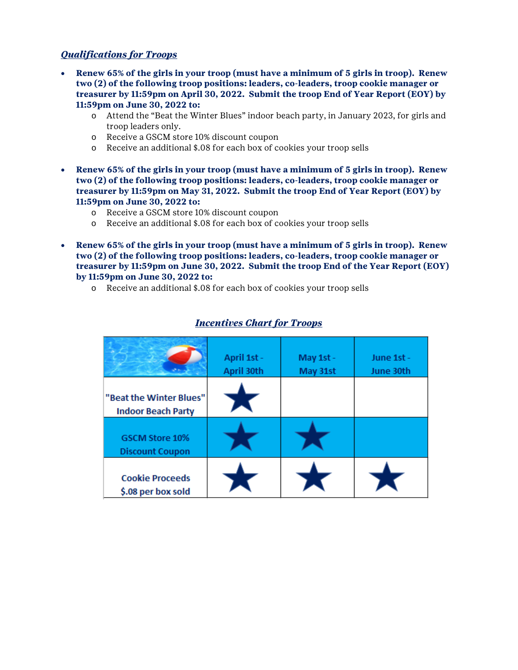## *Qualifications for Troops*

- **Renew 65% of the girls in your troop (must have a minimum of 5 girls in troop). Renew two (2) of the following troop positions: leaders, co-leaders, troop cookie manager or treasurer by 11:59pm on April 30, 2022. Submit the troop End of Year Report (EOY) by 11:59pm on June 30, 2022 to:**
	- o Attend the "Beat the Winter Blues" indoor beach party, in January 2023, for girls and troop leaders only.
	- o Receive a GSCM store 10% discount coupon
	- o Receive an additional \$.08 for each box of cookies your troop sells
- **Renew 65% of the girls in your troop (must have a minimum of 5 girls in troop). Renew two (2) of the following troop positions: leaders, co-leaders, troop cookie manager or treasurer by 11:59pm on May 31, 2022. Submit the troop End of Year Report (EOY) by 11:59pm on June 30, 2022 to:**
	- o Receive a GSCM store 10% discount coupon
	- o Receive an additional \$.08 for each box of cookies your troop sells
- **Renew 65% of the girls in your troop (must have a minimum of 5 girls in troop). Renew two (2) of the following troop positions: leaders, co-leaders, troop cookie manager or treasurer by 11:59pm on June 30, 2022. Submit the troop End of the Year Report (EOY) by 11:59pm on June 30, 2022 to:**
	- o Receive an additional \$.08 for each box of cookies your troop sells

|                                                      | April 1st -<br>April 30th | May 1st -<br>May 31st | June 1st -<br>June 30th |
|------------------------------------------------------|---------------------------|-----------------------|-------------------------|
| "Beat the Winter Blues"<br><b>Indoor Beach Party</b> |                           |                       |                         |
| <b>GSCM Store 10%</b><br><b>Discount Coupon</b>      |                           |                       |                         |
| <b>Cookie Proceeds</b><br>\$.08 per box sold         |                           |                       |                         |

## *Incentives Chart for Troops*